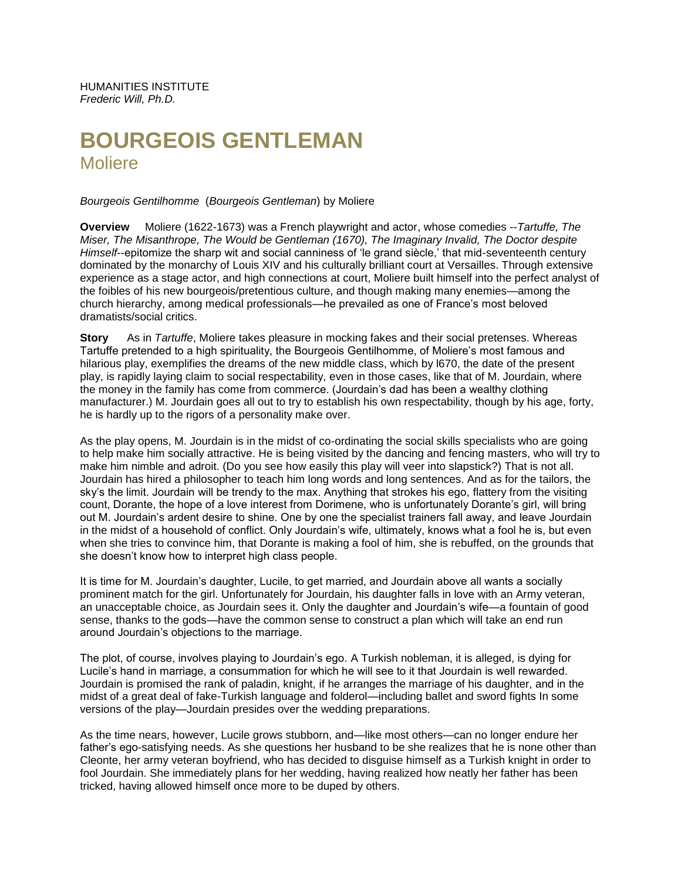HUMANITIES INSTITUTE *Frederic Will, Ph.D.*

# **BOURGEOIS GENTLEMAN Moliere**

*Bourgeois Gentilhomme* (*Bourgeois Gentleman*) by Moliere

**Overview** Moliere (1622-1673) was a French playwright and actor, whose comedies --*Tartuffe, The Miser, The Misanthrope, The Would be Gentleman (1670), The Imaginary Invalid, The Doctor despite Himself*--epitomize the sharp wit and social canniness of 'le grand siècle,' that mid-seventeenth century dominated by the monarchy of Louis XIV and his culturally brilliant court at Versailles. Through extensive experience as a stage actor, and high connections at court, Moliere built himself into the perfect analyst of the foibles of his new bourgeois/pretentious culture, and though making many enemies—among the church hierarchy, among medical professionals—he prevailed as one of France's most beloved dramatists/social critics.

**Story** As in *Tartuffe*, Moliere takes pleasure in mocking fakes and their social pretenses. Whereas Tartuffe pretended to a high spirituality, the Bourgeois Gentilhomme, of Moliere's most famous and hilarious play, exemplifies the dreams of the new middle class, which by l670, the date of the present play, is rapidly laying claim to social respectability, even in those cases, like that of M. Jourdain, where the money in the family has come from commerce. (Jourdain's dad has been a wealthy clothing manufacturer.) M. Jourdain goes all out to try to establish his own respectability, though by his age, forty, he is hardly up to the rigors of a personality make over.

As the play opens, M. Jourdain is in the midst of co-ordinating the social skills specialists who are going to help make him socially attractive. He is being visited by the dancing and fencing masters, who will try to make him nimble and adroit. (Do you see how easily this play will veer into slapstick?) That is not all. Jourdain has hired a philosopher to teach him long words and long sentences. And as for the tailors, the sky's the limit. Jourdain will be trendy to the max. Anything that strokes his ego, flattery from the visiting count, Dorante, the hope of a love interest from Dorimene, who is unfortunately Dorante's girl, will bring out M. Jourdain's ardent desire to shine. One by one the specialist trainers fall away, and leave Jourdain in the midst of a household of conflict. Only Jourdain's wife, ultimately, knows what a fool he is, but even when she tries to convince him, that Dorante is making a fool of him, she is rebuffed, on the grounds that she doesn't know how to interpret high class people.

It is time for M. Jourdain's daughter, Lucile, to get married, and Jourdain above all wants a socially prominent match for the girl. Unfortunately for Jourdain, his daughter falls in love with an Army veteran, an unacceptable choice, as Jourdain sees it. Only the daughter and Jourdain's wife—a fountain of good sense, thanks to the gods—have the common sense to construct a plan which will take an end run around Jourdain's objections to the marriage.

The plot, of course, involves playing to Jourdain's ego. A Turkish nobleman, it is alleged, is dying for Lucile's hand in marriage, a consummation for which he will see to it that Jourdain is well rewarded. Jourdain is promised the rank of paladin, knight, if he arranges the marriage of his daughter, and in the midst of a great deal of fake-Turkish language and folderol—including ballet and sword fights In some versions of the play—Jourdain presides over the wedding preparations.

As the time nears, however, Lucile grows stubborn, and—like most others—can no longer endure her father's ego-satisfying needs. As she questions her husband to be she realizes that he is none other than Cleonte, her army veteran boyfriend, who has decided to disguise himself as a Turkish knight in order to fool Jourdain. She immediately plans for her wedding, having realized how neatly her father has been tricked, having allowed himself once more to be duped by others.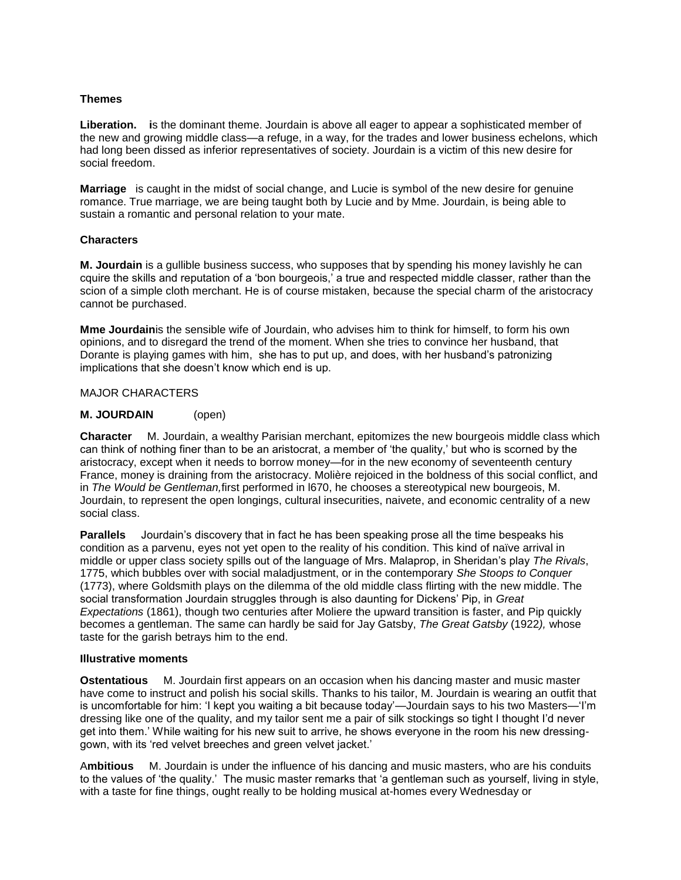### **Themes**

**Liberation. i**s the dominant theme. Jourdain is above all eager to appear a sophisticated member of the new and growing middle class—a refuge, in a way, for the trades and lower business echelons, which had long been dissed as inferior representatives of society. Jourdain is a victim of this new desire for social freedom.

**Marriage** is caught in the midst of social change, and Lucie is symbol of the new desire for genuine romance. True marriage, we are being taught both by Lucie and by Mme. Jourdain, is being able to sustain a romantic and personal relation to your mate.

#### **Characters**

**M. Jourdain** is a gullible business success, who supposes that by spending his money lavishly he can cquire the skills and reputation of a 'bon bourgeois,' a true and respected middle classer, rather than the scion of a simple cloth merchant. He is of course mistaken, because the special charm of the aristocracy cannot be purchased.

**Mme Jourdain**is the sensible wife of Jourdain, who advises him to think for himself, to form his own opinions, and to disregard the trend of the moment. When she tries to convince her husband, that Dorante is playing games with him, she has to put up, and does, with her husband's patronizing implications that she doesn't know which end is up.

# MAJOR CHARACTERS

# **M. JOURDAIN** (open)

**Character** M. Jourdain, a wealthy Parisian merchant, epitomizes the new bourgeois middle class which can think of nothing finer than to be an aristocrat, a member of 'the quality,' but who is scorned by the aristocracy, except when it needs to borrow money—for in the new economy of seventeenth century France, money is draining from the aristocracy. Molière rejoiced in the boldness of this social conflict, and in *The Would be Gentleman,*first performed in l670, he chooses a stereotypical new bourgeois, M. Jourdain, to represent the open longings, cultural insecurities, naivete, and economic centrality of a new social class.

**Parallels** Jourdain's discovery that in fact he has been speaking prose all the time bespeaks his condition as a parvenu, eyes not yet open to the reality of his condition. This kind of naïve arrival in middle or upper class society spills out of the language of Mrs. Malaprop, in Sheridan's play *The Rivals*, 1775, which bubbles over with social maladjustment, or in the contemporary *She Stoops to Conquer* (1773), where Goldsmith plays on the dilemma of the old middle class flirting with the new middle. The social transformation Jourdain struggles through is also daunting for Dickens' Pip, in *Great Expectations* (1861), though two centuries after Moliere the upward transition is faster, and Pip quickly becomes a gentleman. The same can hardly be said for Jay Gatsby, *The Great Gatsby* (1922*),* whose taste for the garish betrays him to the end.

#### **Illustrative moments**

**Ostentatious** M. Jourdain first appears on an occasion when his dancing master and music master have come to instruct and polish his social skills. Thanks to his tailor, M. Jourdain is wearing an outfit that is uncomfortable for him: 'I kept you waiting a bit because today'—Jourdain says to his two Masters—'I'm dressing like one of the quality, and my tailor sent me a pair of silk stockings so tight I thought I'd never get into them.' While waiting for his new suit to arrive, he shows everyone in the room his new dressinggown, with its 'red velvet breeches and green velvet jacket.'

A**mbitious** M. Jourdain is under the influence of his dancing and music masters, who are his conduits to the values of 'the quality.' The music master remarks that 'a gentleman such as yourself, living in style, with a taste for fine things, ought really to be holding musical at-homes every Wednesday or